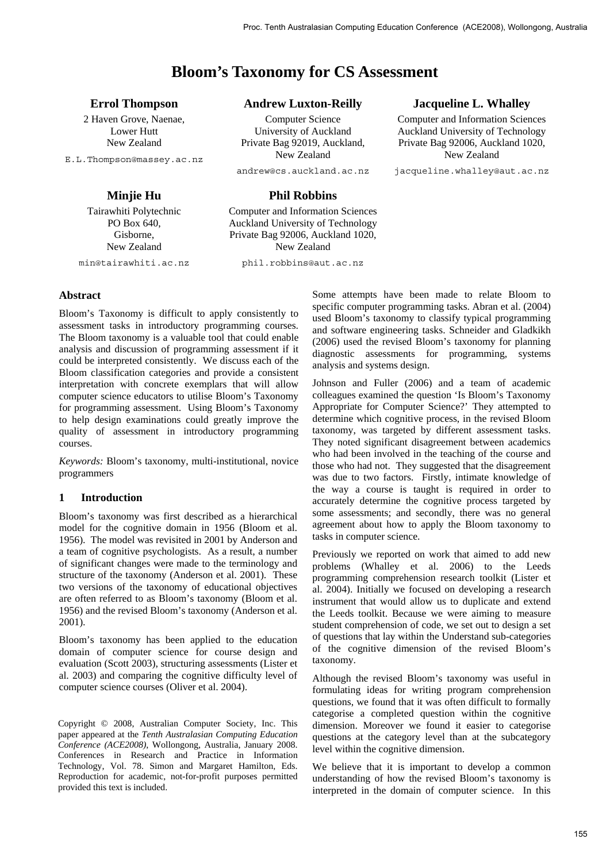# **Bloom's Taxonomy for CS Assessment**

## **Errol Thompson**

2 Haven Grove, Naenae, Lower Hutt New Zealand

E.L.Thompson@massey.ac.nz

## **Minjie Hu**

Tairawhiti Polytechnic PO Box 640, Gisborne, New Zealand

min@tairawhiti.ac.nz

## **Andrew Luxton-Reilly**

Computer Science University of Auckland Private Bag 92019, Auckland, New Zealand

andrew@cs.auckland.ac.nz

## **Phil Robbins**

Computer and Information Sciences Auckland University of Technology Private Bag 92006, Auckland 1020, New Zealand

phil.robbins@aut.ac.nz

## **Jacqueline L. Whalley**

Computer and Information Sciences Auckland University of Technology Private Bag 92006, Auckland 1020, New Zealand

jacqueline.whalley@aut.ac.nz

## **Abstract**

Bloom's Taxonomy is difficult to apply consistently to assessment tasks in introductory programming courses. The Bloom taxonomy is a valuable tool that could enable analysis and discussion of programming assessment if it could be interpreted consistently. We discuss each of the Bloom classification categories and provide a consistent interpretation with concrete exemplars that will allow computer science educators to utilise Bloom's Taxonomy for programming assessment. Using Bloom's Taxonomy to help design examinations could greatly improve the quality of assessment in introductory programming courses.

*Keywords:* Bloom's taxonomy, multi-institutional, novice programmers

## **1 Introduction**

Bloom's taxonomy was first described as a hierarchical model for the cognitive domain in 1956 (Bloom et al. 1956). The model was revisited in 2001 by Anderson and a team of cognitive psychologists. As a result, a number of significant changes were made to the terminology and structure of the taxonomy (Anderson et al. 2001). These two versions of the taxonomy of educational objectives are often referred to as Bloom's taxonomy (Bloom et al. 1956) and the revised Bloom's taxonomy (Anderson et al. 2001).

Bloom's taxonomy has been applied to the education domain of computer science for course design and evaluation (Scott 2003), structuring assessments (Lister et al. 2003) and comparing the cognitive difficulty level of computer science courses (Oliver et al. 2004).

Copyright © 2008, Australian Computer Society, Inc. This paper appeared at the *Tenth Australasian Computing Education Conference (ACE2008)*, Wollongong, Australia, January 2008. Conferences in Research and Practice in Information Technology, Vol. 78. Simon and Margaret Hamilton, Eds. Reproduction for academic, not-for-profit purposes permitted provided this text is included.

Some attempts have been made to relate Bloom to specific computer programming tasks. Abran et al. (2004) used Bloom's taxonomy to classify typical programming and software engineering tasks. Schneider and Gladkikh (2006) used the revised Bloom's taxonomy for planning diagnostic assessments for programming, systems analysis and systems design.

Johnson and Fuller (2006) and a team of academic colleagues examined the question 'Is Bloom's Taxonomy Appropriate for Computer Science?' They attempted to determine which cognitive process, in the revised Bloom taxonomy, was targeted by different assessment tasks. They noted significant disagreement between academics who had been involved in the teaching of the course and those who had not. They suggested that the disagreement was due to two factors. Firstly, intimate knowledge of the way a course is taught is required in order to accurately determine the cognitive process targeted by some assessments; and secondly, there was no general agreement about how to apply the Bloom taxonomy to tasks in computer science.

Previously we reported on work that aimed to add new problems (Whalley et al. 2006) to the Leeds programming comprehension research toolkit (Lister et al. 2004). Initially we focused on developing a research instrument that would allow us to duplicate and extend the Leeds toolkit. Because we were aiming to measure student comprehension of code, we set out to design a set of questions that lay within the Understand sub-categories of the cognitive dimension of the revised Bloom's taxonomy.

Although the revised Bloom's taxonomy was useful in formulating ideas for writing program comprehension questions, we found that it was often difficult to formally categorise a completed question within the cognitive dimension. Moreover we found it easier to categorise questions at the category level than at the subcategory level within the cognitive dimension.

We believe that it is important to develop a common understanding of how the revised Bloom's taxonomy is interpreted in the domain of computer science. In this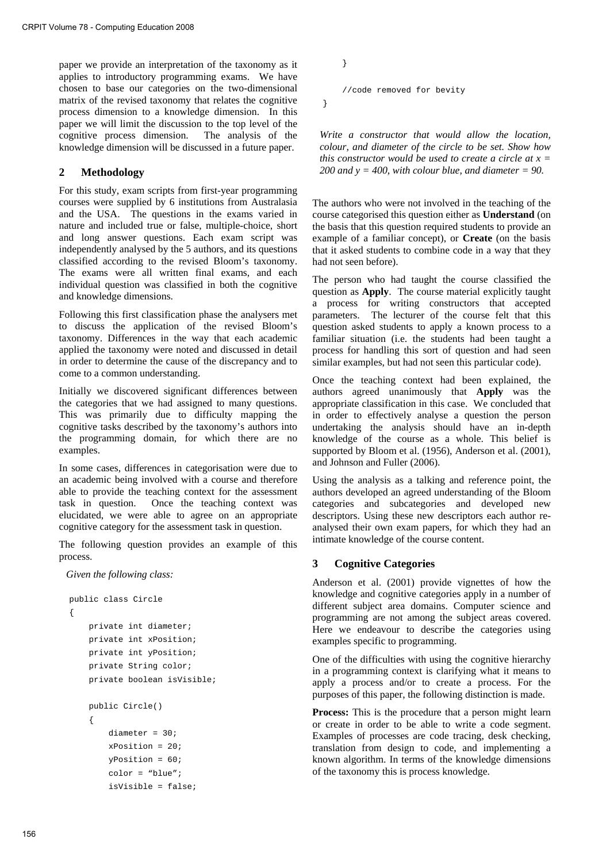paper we provide an interpretation of the taxonomy as it applies to introductory programming exams. We have chosen to base our categories on the two-dimensional matrix of the revised taxonomy that relates the cognitive process dimension to a knowledge dimension. In this paper we will limit the discussion to the top level of the cognitive process dimension. The analysis of the knowledge dimension will be discussed in a future paper.

## **2 Methodology**

For this study, exam scripts from first-year programming courses were supplied by 6 institutions from Australasia and the USA. The questions in the exams varied in nature and included true or false, multiple-choice, short and long answer questions. Each exam script was independently analysed by the 5 authors, and its questions classified according to the revised Bloom's taxonomy. The exams were all written final exams, and each individual question was classified in both the cognitive and knowledge dimensions.

Following this first classification phase the analysers met to discuss the application of the revised Bloom's taxonomy. Differences in the way that each academic applied the taxonomy were noted and discussed in detail in order to determine the cause of the discrepancy and to come to a common understanding.

Initially we discovered significant differences between the categories that we had assigned to many questions. This was primarily due to difficulty mapping the cognitive tasks described by the taxonomy's authors into the programming domain, for which there are no examples.

In some cases, differences in categorisation were due to an academic being involved with a course and therefore able to provide the teaching context for the assessment task in question. Once the teaching context was elucidated, we were able to agree on an appropriate cognitive category for the assessment task in question.

The following question provides an example of this process.

*Given the following class:* 

```
public class Circle 
{ 
     private int diameter; 
     private int xPosition; 
     private int yPosition; 
     private String color; 
     private boolean isVisible; 
     public Circle() 
     { 
         diameter = 30; 
        xPosition = 20;
        vPosition = 60i color = "blue"; 
          isVisible = false;
```

```
 //code removed for bevity
```
}

}

*Write a constructor that would allow the location, colour, and diameter of the circle to be set. Show how this constructor would be used to create a circle at x = 200 and y = 400, with colour blue, and diameter = 90.* 

The authors who were not involved in the teaching of the course categorised this question either as **Understand** (on the basis that this question required students to provide an example of a familiar concept), or **Create** (on the basis that it asked students to combine code in a way that they had not seen before).

The person who had taught the course classified the question as **Apply**. The course material explicitly taught a process for writing constructors that accepted parameters. The lecturer of the course felt that this question asked students to apply a known process to a familiar situation (i.e. the students had been taught a process for handling this sort of question and had seen similar examples, but had not seen this particular code).

Once the teaching context had been explained, the authors agreed unanimously that **Apply** was the appropriate classification in this case. We concluded that in order to effectively analyse a question the person undertaking the analysis should have an in-depth knowledge of the course as a whole. This belief is supported by Bloom et al. (1956), Anderson et al. (2001), and Johnson and Fuller (2006).

Using the analysis as a talking and reference point, the authors developed an agreed understanding of the Bloom categories and subcategories and developed new descriptors. Using these new descriptors each author reanalysed their own exam papers, for which they had an intimate knowledge of the course content.

## **3 Cognitive Categories**

Anderson et al. (2001) provide vignettes of how the knowledge and cognitive categories apply in a number of different subject area domains. Computer science and programming are not among the subject areas covered. Here we endeavour to describe the categories using examples specific to programming.

One of the difficulties with using the cognitive hierarchy in a programming context is clarifying what it means to apply a process and/or to create a process. For the purposes of this paper, the following distinction is made.

**Process:** This is the procedure that a person might learn or create in order to be able to write a code segment. Examples of processes are code tracing, desk checking, translation from design to code, and implementing a known algorithm. In terms of the knowledge dimensions of the taxonomy this is process knowledge.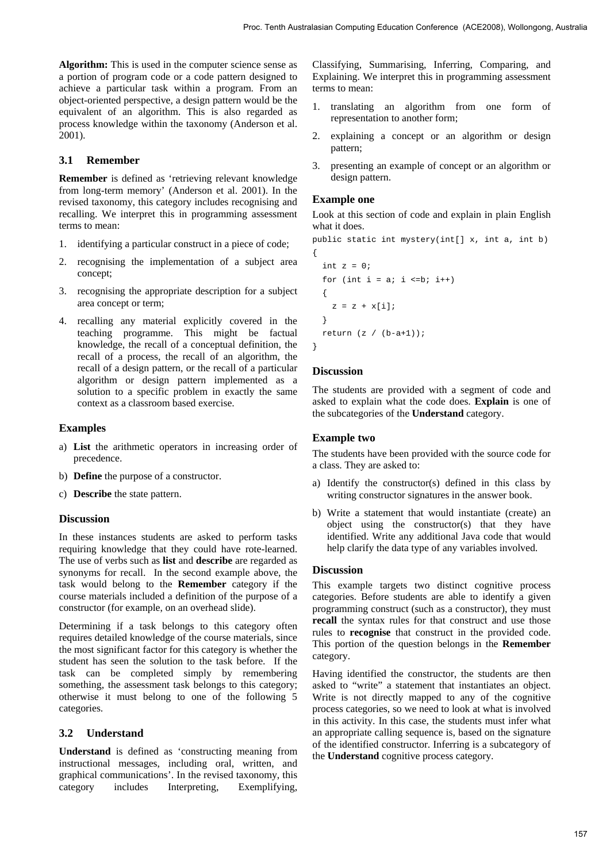**Algorithm:** This is used in the computer science sense as a portion of program code or a code pattern designed to achieve a particular task within a program. From an object-oriented perspective, a design pattern would be the equivalent of an algorithm. This is also regarded as process knowledge within the taxonomy (Anderson et al. 2001).

#### **3.1 Remember**

**Remember** is defined as 'retrieving relevant knowledge from long-term memory' (Anderson et al. 2001). In the revised taxonomy, this category includes recognising and recalling. We interpret this in programming assessment terms to mean:

- 1. identifying a particular construct in a piece of code;
- 2. recognising the implementation of a subject area concept;
- 3. recognising the appropriate description for a subject area concept or term;
- 4. recalling any material explicitly covered in the teaching programme. This might be factual knowledge, the recall of a conceptual definition, the recall of a process, the recall of an algorithm, the recall of a design pattern, or the recall of a particular algorithm or design pattern implemented as a solution to a specific problem in exactly the same context as a classroom based exercise.

#### **Examples**

- a) **List** the arithmetic operators in increasing order of precedence.
- b) **Define** the purpose of a constructor.
- c) **Describe** the state pattern.

#### **Discussion**

In these instances students are asked to perform tasks requiring knowledge that they could have rote-learned. The use of verbs such as **list** and **describe** are regarded as synonyms for recall. In the second example above, the task would belong to the **Remember** category if the course materials included a definition of the purpose of a constructor (for example, on an overhead slide).

Determining if a task belongs to this category often requires detailed knowledge of the course materials, since the most significant factor for this category is whether the student has seen the solution to the task before. If the task can be completed simply by remembering something, the assessment task belongs to this category; otherwise it must belong to one of the following 5 categories.

## **3.2 Understand**

**Understand** is defined as 'constructing meaning from instructional messages, including oral, written, and graphical communications'. In the revised taxonomy, this category includes Interpreting, Exemplifying, Classifying, Summarising, Inferring, Comparing, and Explaining. We interpret this in programming assessment terms to mean:

- 1. translating an algorithm from one form of representation to another form;
- 2. explaining a concept or an algorithm or design pattern;
- 3. presenting an example of concept or an algorithm or design pattern.

#### **Example one**

Look at this section of code and explain in plain English what it does.

public static int mystery(int[] x, int a, int b)

```
{ 
  int z = 0;
  for (int i = ai i \leq bi i++) { 
    z = z + x[i]; } 
 return (z / (b-a+1));
```
}

#### **Discussion**

The students are provided with a segment of code and asked to explain what the code does. **Explain** is one of the subcategories of the **Understand** category.

#### **Example two**

The students have been provided with the source code for a class. They are asked to:

- a) Identify the constructor(s) defined in this class by writing constructor signatures in the answer book.
- b) Write a statement that would instantiate (create) an object using the constructor(s) that they have identified. Write any additional Java code that would help clarify the data type of any variables involved.

#### **Discussion**

This example targets two distinct cognitive process categories. Before students are able to identify a given programming construct (such as a constructor), they must **recall** the syntax rules for that construct and use those rules to **recognise** that construct in the provided code. This portion of the question belongs in the **Remember** category.

Having identified the constructor, the students are then asked to "write" a statement that instantiates an object. Write is not directly mapped to any of the cognitive process categories, so we need to look at what is involved in this activity. In this case, the students must infer what an appropriate calling sequence is, based on the signature of the identified constructor. Inferring is a subcategory of the **Understand** cognitive process category.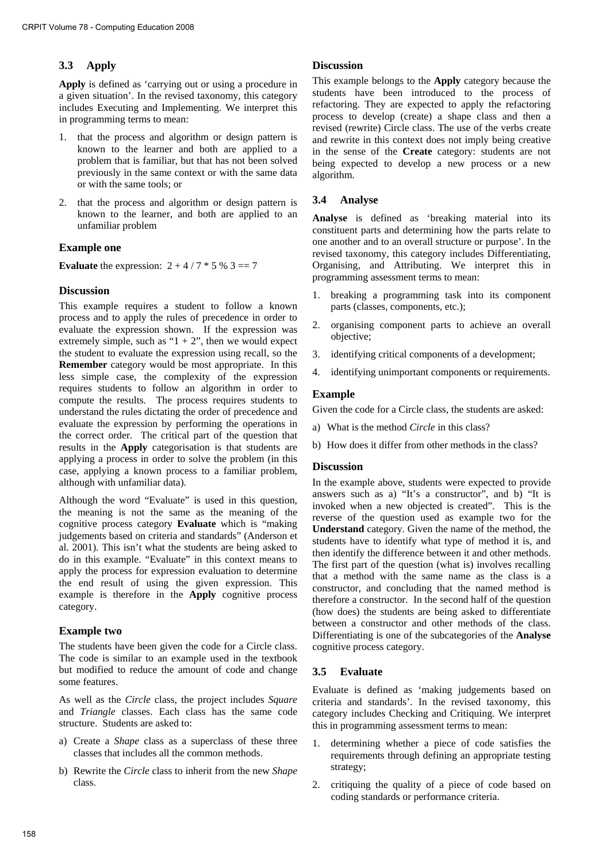## **3.3 Apply**

**Apply** is defined as 'carrying out or using a procedure in a given situation'. In the revised taxonomy, this category includes Executing and Implementing. We interpret this in programming terms to mean:

- 1. that the process and algorithm or design pattern is known to the learner and both are applied to a problem that is familiar, but that has not been solved previously in the same context or with the same data or with the same tools; or
- 2. that the process and algorithm or design pattern is known to the learner, and both are applied to an unfamiliar problem

## **Example one**

**Evaluate** the expression:  $2 + 4 / 7 * 5 \% 3 == 7$ 

## **Discussion**

This example requires a student to follow a known process and to apply the rules of precedence in order to evaluate the expression shown. If the expression was extremely simple, such as " $1 + 2$ ", then we would expect the student to evaluate the expression using recall, so the **Remember** category would be most appropriate. In this less simple case, the complexity of the expression requires students to follow an algorithm in order to compute the results. The process requires students to understand the rules dictating the order of precedence and evaluate the expression by performing the operations in the correct order. The critical part of the question that results in the **Apply** categorisation is that students are applying a process in order to solve the problem (in this case, applying a known process to a familiar problem, although with unfamiliar data).

Although the word "Evaluate" is used in this question, the meaning is not the same as the meaning of the cognitive process category **Evaluate** which is "making judgements based on criteria and standards" (Anderson et al. 2001). This isn't what the students are being asked to do in this example. "Evaluate" in this context means to apply the process for expression evaluation to determine the end result of using the given expression. This example is therefore in the **Apply** cognitive process category.

## **Example two**

The students have been given the code for a Circle class. The code is similar to an example used in the textbook but modified to reduce the amount of code and change some features.

As well as the *Circle* class, the project includes *Square* and *Triangle* classes. Each class has the same code structure. Students are asked to:

- a) Create a *Shape* class as a superclass of these three classes that includes all the common methods.
- b) Rewrite the *Circle* class to inherit from the new *Shape* class.

#### **Discussion**

This example belongs to the **Apply** category because the students have been introduced to the process of refactoring. They are expected to apply the refactoring process to develop (create) a shape class and then a revised (rewrite) Circle class. The use of the verbs create and rewrite in this context does not imply being creative in the sense of the **Create** category: students are not being expected to develop a new process or a new algorithm.

## **3.4 Analyse**

**Analyse** is defined as 'breaking material into its constituent parts and determining how the parts relate to one another and to an overall structure or purpose'. In the revised taxonomy, this category includes Differentiating, Organising, and Attributing. We interpret this in programming assessment terms to mean:

- 1. breaking a programming task into its component parts (classes, components, etc.);
- 2. organising component parts to achieve an overall objective;
- 3. identifying critical components of a development;
- 4. identifying unimportant components or requirements.

## **Example**

Given the code for a Circle class, the students are asked:

- a) What is the method *Circle* in this class?
- b) How does it differ from other methods in the class?

## **Discussion**

In the example above, students were expected to provide answers such as a) "It's a constructor", and b) "It is invoked when a new objected is created". This is the reverse of the question used as example two for the **Understand** category. Given the name of the method, the students have to identify what type of method it is, and then identify the difference between it and other methods. The first part of the question (what is) involves recalling that a method with the same name as the class is a constructor, and concluding that the named method is therefore a constructor. In the second half of the question (how does) the students are being asked to differentiate between a constructor and other methods of the class. Differentiating is one of the subcategories of the **Analyse** cognitive process category.

## **3.5 Evaluate**

Evaluate is defined as 'making judgements based on criteria and standards'. In the revised taxonomy, this category includes Checking and Critiquing. We interpret this in programming assessment terms to mean:

- 1. determining whether a piece of code satisfies the requirements through defining an appropriate testing strategy;
- 2. critiquing the quality of a piece of code based on coding standards or performance criteria.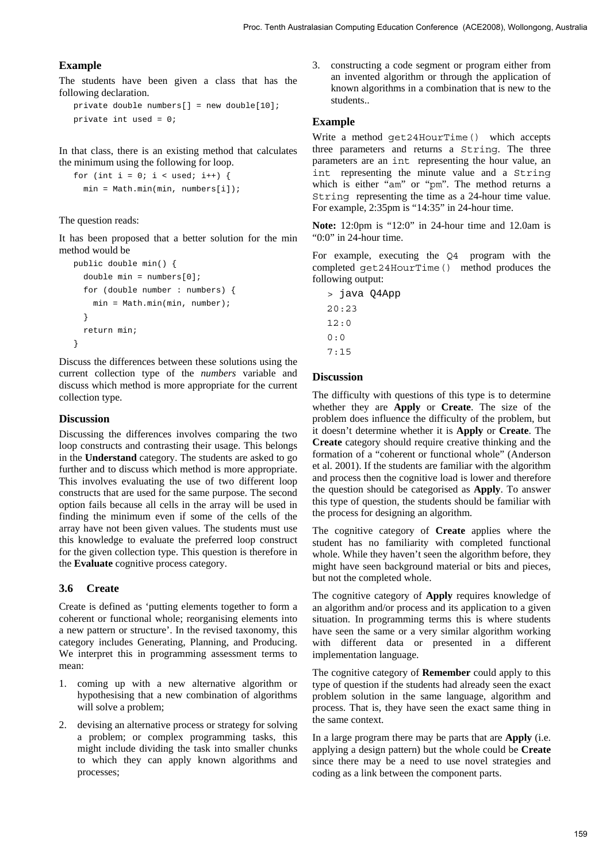## **Example**

The students have been given a class that has the following declaration.

```
private double numbers[] = new double[10]; 
private int used = 0;
```
In that class, there is an existing method that calculates the minimum using the following for loop.

```
for (int i = 0; i < used; i++) {
  min = Math.min(min, numbers[i]);
```
#### The question reads:

It has been proposed that a better solution for the min method would be

```
public double min() { 
  double min = numbers[0]; for (double number : numbers) { 
     min = Math.min(min, number); 
   } 
   return min; 
}
```
Discuss the differences between these solutions using the current collection type of the *numbers* variable and discuss which method is more appropriate for the current collection type.

#### **Discussion**

Discussing the differences involves comparing the two loop constructs and contrasting their usage. This belongs in the **Understand** category. The students are asked to go further and to discuss which method is more appropriate. This involves evaluating the use of two different loop constructs that are used for the same purpose. The second option fails because all cells in the array will be used in finding the minimum even if some of the cells of the array have not been given values. The students must use this knowledge to evaluate the preferred loop construct for the given collection type. This question is therefore in the **Evaluate** cognitive process category.

#### **3.6 Create**

Create is defined as 'putting elements together to form a coherent or functional whole; reorganising elements into a new pattern or structure'. In the revised taxonomy, this category includes Generating, Planning, and Producing. We interpret this in programming assessment terms to mean:

- 1. coming up with a new alternative algorithm or hypothesising that a new combination of algorithms will solve a problem;
- 2. devising an alternative process or strategy for solving a problem; or complex programming tasks, this might include dividing the task into smaller chunks to which they can apply known algorithms and processes;

3. constructing a code segment or program either from an invented algorithm or through the application of known algorithms in a combination that is new to the students..

#### **Example**

Write a method get24HourTime() which accepts three parameters and returns a String. The three parameters are an int representing the hour value, an int representing the minute value and a String which is either "am" or "pm". The method returns a String representing the time as a 24-hour time value. For example, 2:35pm is "14:35" in 24-hour time.

**Note:** 12:0pm is "12:0" in 24-hour time and 12.0am is "0:0" in 24-hour time.

For example, executing the Q4 program with the completed get24HourTime() method produces the following output:

> java Q4App 20:23  $12 \cdot 0$ 0:0 7:15

#### **Discussion**

The difficulty with questions of this type is to determine whether they are **Apply** or **Create**. The size of the problem does influence the difficulty of the problem, but it doesn't determine whether it is **Apply** or **Create**. The **Create** category should require creative thinking and the formation of a "coherent or functional whole" (Anderson et al. 2001). If the students are familiar with the algorithm and process then the cognitive load is lower and therefore the question should be categorised as **Apply**. To answer this type of question, the students should be familiar with the process for designing an algorithm.

The cognitive category of **Create** applies where the student has no familiarity with completed functional whole. While they haven't seen the algorithm before, they might have seen background material or bits and pieces, but not the completed whole.

The cognitive category of **Apply** requires knowledge of an algorithm and/or process and its application to a given situation. In programming terms this is where students have seen the same or a very similar algorithm working with different data or presented in a different implementation language.

The cognitive category of **Remember** could apply to this type of question if the students had already seen the exact problem solution in the same language, algorithm and process. That is, they have seen the exact same thing in the same context.

In a large program there may be parts that are **Apply** (i.e. applying a design pattern) but the whole could be **Create** since there may be a need to use novel strategies and coding as a link between the component parts.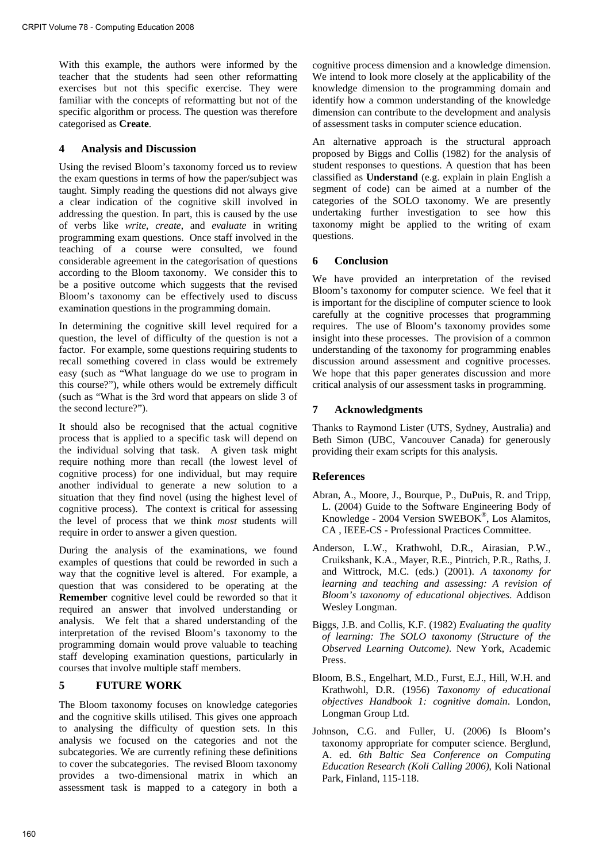With this example, the authors were informed by the teacher that the students had seen other reformatting exercises but not this specific exercise. They were familiar with the concepts of reformatting but not of the specific algorithm or process. The question was therefore categorised as **Create**.

## **4 Analysis and Discussion**

Using the revised Bloom's taxonomy forced us to review the exam questions in terms of how the paper/subject was taught. Simply reading the questions did not always give a clear indication of the cognitive skill involved in addressing the question. In part, this is caused by the use of verbs like *write*, *create*, and *evaluate* in writing programming exam questions. Once staff involved in the teaching of a course were consulted, we found considerable agreement in the categorisation of questions according to the Bloom taxonomy. We consider this to be a positive outcome which suggests that the revised Bloom's taxonomy can be effectively used to discuss examination questions in the programming domain.

In determining the cognitive skill level required for a question, the level of difficulty of the question is not a factor. For example, some questions requiring students to recall something covered in class would be extremely easy (such as "What language do we use to program in this course?"), while others would be extremely difficult (such as "What is the 3rd word that appears on slide 3 of the second lecture?").

It should also be recognised that the actual cognitive process that is applied to a specific task will depend on the individual solving that task. A given task might require nothing more than recall (the lowest level of cognitive process) for one individual, but may require another individual to generate a new solution to a situation that they find novel (using the highest level of cognitive process). The context is critical for assessing the level of process that we think *most* students will require in order to answer a given question.

During the analysis of the examinations, we found examples of questions that could be reworded in such a way that the cognitive level is altered. For example, a question that was considered to be operating at the **Remember** cognitive level could be reworded so that it required an answer that involved understanding or analysis. We felt that a shared understanding of the interpretation of the revised Bloom's taxonomy to the programming domain would prove valuable to teaching staff developing examination questions, particularly in courses that involve multiple staff members.

## **5 FUTURE WORK**

The Bloom taxonomy focuses on knowledge categories and the cognitive skills utilised. This gives one approach to analysing the difficulty of question sets. In this analysis we focused on the categories and not the subcategories. We are currently refining these definitions to cover the subcategories. The revised Bloom taxonomy provides a two-dimensional matrix in which an assessment task is mapped to a category in both a cognitive process dimension and a knowledge dimension. We intend to look more closely at the applicability of the knowledge dimension to the programming domain and identify how a common understanding of the knowledge dimension can contribute to the development and analysis of assessment tasks in computer science education.

An alternative approach is the structural approach proposed by Biggs and Collis (1982) for the analysis of student responses to questions. A question that has been classified as **Understand** (e.g. explain in plain English a segment of code) can be aimed at a number of the categories of the SOLO taxonomy. We are presently undertaking further investigation to see how this taxonomy might be applied to the writing of exam questions.

## **6 Conclusion**

We have provided an interpretation of the revised Bloom's taxonomy for computer science. We feel that it is important for the discipline of computer science to look carefully at the cognitive processes that programming requires. The use of Bloom's taxonomy provides some insight into these processes. The provision of a common understanding of the taxonomy for programming enables discussion around assessment and cognitive processes. We hope that this paper generates discussion and more critical analysis of our assessment tasks in programming.

## **7 Acknowledgments**

Thanks to Raymond Lister (UTS, Sydney, Australia) and Beth Simon (UBC, Vancouver Canada) for generously providing their exam scripts for this analysis.

## **References**

- Abran, A., Moore, J., Bourque, P., DuPuis, R. and Tripp, L. (2004) Guide to the Software Engineering Body of Knowledge - 2004 Version SWEBOK®, Los Alamitos, CA , IEEE-CS - Professional Practices Committee.
- Anderson, L.W., Krathwohl, D.R., Airasian, P.W., Cruikshank, K.A., Mayer, R.E., Pintrich, P.R., Raths, J. and Wittrock, M.C. (eds.) (2001). *A taxonomy for learning and teaching and assessing: A revision of Bloom's taxonomy of educational objectives*. Addison Wesley Longman.
- Biggs, J.B. and Collis, K.F. (1982) *Evaluating the quality of learning: The SOLO taxonomy (Structure of the Observed Learning Outcome)*. New York, Academic Press.
- Bloom, B.S., Engelhart, M.D., Furst, E.J., Hill, W.H. and Krathwohl, D.R. (1956) *Taxonomy of educational objectives Handbook 1: cognitive domain*. London, Longman Group Ltd.
- Johnson, C.G. and Fuller, U. (2006) Is Bloom's taxonomy appropriate for computer science. Berglund, A. ed. *6th Baltic Sea Conference on Computing Education Research (Koli Calling 2006)*, Koli National Park, Finland, 115-118.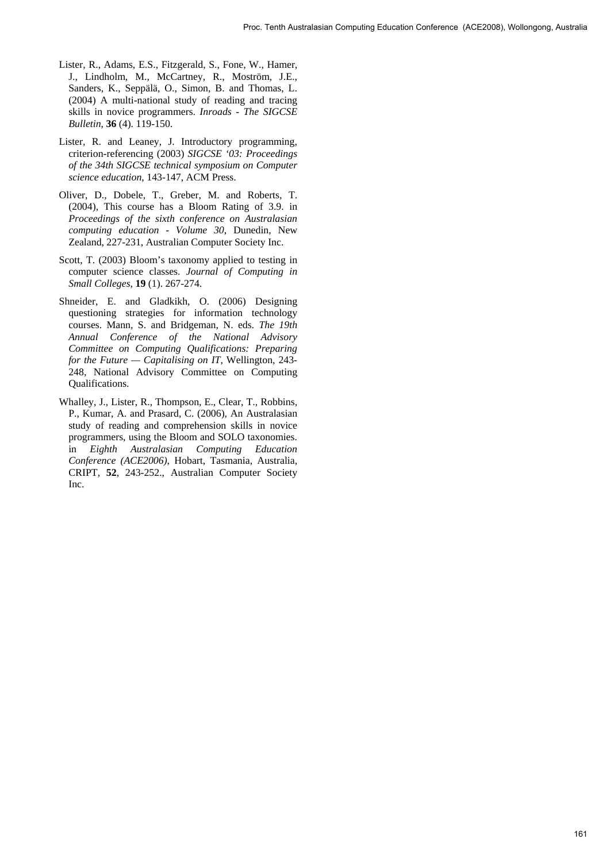- Lister, R., Adams, E.S., Fitzgerald, S., Fone, W., Hamer, J., Lindholm, M., McCartney, R., Moström, J.E., Sanders, K., Seppälä, O., Simon, B. and Thomas, L. (2004) A multi-national study of reading and tracing skills in novice programmers. *Inroads - The SIGCSE Bulletin*, **36** (4). 119-150.
- Lister, R. and Leaney, J. Introductory programming, criterion-referencing (2003) *SIGCSE '03: Proceedings of the 34th SIGCSE technical symposium on Computer science education*, 143-147, ACM Press.
- Oliver, D., Dobele, T., Greber, M. and Roberts, T. (2004), This course has a Bloom Rating of 3.9. in *Proceedings of the sixth conference on Australasian computing education - Volume 30*, Dunedin, New Zealand, 227-231, Australian Computer Society Inc.
- Scott, T. (2003) Bloom's taxonomy applied to testing in computer science classes. *Journal of Computing in Small Colleges*, **19** (1). 267-274.
- Shneider, E. and Gladkikh, O. (2006) Designing questioning strategies for information technology courses. Mann, S. and Bridgeman, N. eds. *The 19th Annual Conference of the National Advisory Committee on Computing Qualifications: Preparing for the Future — Capitalising on IT*, Wellington, 243- 248, National Advisory Committee on Computing Qualifications.
- Whalley, J., Lister, R., Thompson, E., Clear, T., Robbins, P., Kumar, A. and Prasard, C. (2006), An Australasian study of reading and comprehension skills in novice programmers, using the Bloom and SOLO taxonomies. in *Eighth Australasian Computing Education Conference (ACE2006)*, Hobart, Tasmania, Australia, CRIPT, **52**, 243-252., Australian Computer Society Inc.